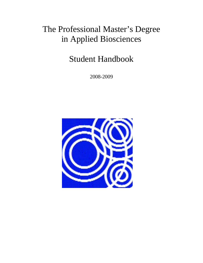# The Professional Master's Degree in Applied Biosciences

## Student Handbook

2008-2009

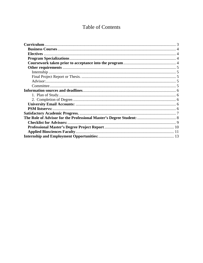## **Table of Contents**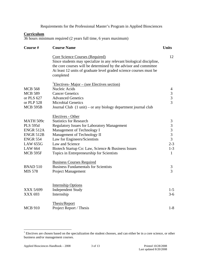Requirements for the Professional Master's Program in Applied Biosciences

## **Curriculum**

36 hours minimum required (2 years full time, 6 years maximum)

| Course #                                                                                                                                               | <b>Course Name</b>                                                                                                                                                                                                                                                                                                           |                                                                    |  |
|--------------------------------------------------------------------------------------------------------------------------------------------------------|------------------------------------------------------------------------------------------------------------------------------------------------------------------------------------------------------------------------------------------------------------------------------------------------------------------------------|--------------------------------------------------------------------|--|
|                                                                                                                                                        | <b>Core Science Courses (Required)</b><br>Since students may specialize in any relevant biological discipline,<br>the core courses will be determined by the advisor and committee<br>At least 12 units of graduate level graded science courses must be<br>completed                                                        | 12                                                                 |  |
| <b>MCB 568</b><br><b>MCB 589</b><br>or PLS 627<br>or PLP 528<br><b>MCB 595B</b>                                                                        | <u> Electives-Major – (see Electives section)</u><br>Nucleic Acids<br><b>Cancer Genetics</b><br><b>Advanced Genetics</b><br><b>Microbial Genetics</b><br>Journal Club $(1 \text{ unit})$ – or any biology department journal club                                                                                            | 4<br>3<br>3<br>3                                                   |  |
| <b>MATH 509c</b><br><b>PLS 595d</b><br><b>ENGR 512A</b><br><b>ENGR 512B</b><br><b>ENGR 554</b><br><b>LAW 655G</b><br><b>LAW 664</b><br><b>MCB 595F</b> | Electives - Other<br><b>Statistics for Research</b><br><b>Regulatory Issues for Laboratory Management</b><br>Management of Technology I<br>Management of Technology II<br>Law for Engineers/Scientists<br>Law and Science<br>Biotech Startup Co: Law, Science & Business Issues<br>Topics in Entrepreneurship for Scientists | 3<br>3<br>$\frac{3}{3}$<br>3<br>$2 - 3$<br>$1 - 3$<br>$\mathbf{1}$ |  |
| <b>BNAD 510</b><br><b>MIS 578</b>                                                                                                                      | <b>Business Courses Required</b><br><b>Business Fundamentals for Scientists</b><br>Project Management                                                                                                                                                                                                                        | 3<br>$\overline{3}$                                                |  |
| XXX 5/699<br>XXX 693                                                                                                                                   | <b>Internship Options</b><br><b>Independent Study</b><br>Internship                                                                                                                                                                                                                                                          | $1 - 5$<br>$3-6$                                                   |  |
| <b>MCB 910</b>                                                                                                                                         | Thesis/Report<br>Project Report / Thesis                                                                                                                                                                                                                                                                                     | $1 - 8$                                                            |  |

<sup>&</sup>lt;sup>1</sup> Electives are chosen based on the specialization the student chooses, and can either be in a core science, or other business and/or management courses.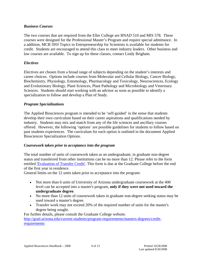#### *Business Courses*

The two courses that are required from the Eller College are BNAD 510 and MIS 578. These courses were designed for the Professional Master's Program and require special admittance. In a addition, MCB 595f Topics in Entrepreneurship for Scientists is available for students for credit. Students are encouraged to attend this class to meet industry leaders. Other business and law courses are available. To sign up for these classes, contact Lindy Brigham.

#### *Electives*

Electives are chosen from a broad range of subjects depending on the student's interests and career choices. Options include courses from Molecular and Cellular Biology, Cancer Biology, Biochemistry, Physiology, Entomology, Pharmacology and Toxicology, Neurosciences, Ecology and Evolutionary Biology, Plant Sciences, Plant Pathology and Microbiology and Veterinary Sciences. Students should start working with an advisor as soon as possible to identify a specialization to follow and develop a Plan of Study.

#### *Program Specializations*

The Applied Biosciences program is intended to be 'self-guided' in the sense that students develop their own curriculum based on their career aspirations and qualifications needed by industry. Students may mix and match from any of the life sciences and ancillary courses offered. However, the following 'options' are possible guidelines for students to follow based on past students experiences. The curriculum for each option is outlined in the document Applied Biosciences Specialization Options.

#### *Coursework taken prior to acceptance into the program*

The total number of units of coursework taken as an undergraduate, in graduate non-degree status and transferred from other institutions can be no more than 12. Please refer to the form entitled 'Evaluation of Transfer Credit'. This form is due at the Graduate College before the end of the first year in residence.

General limits on the 12 units taken prior to acceptance into the program:

- Not more than 6 units of University of Arizona undergraduate coursework at the 400 level can be accepted into a master's program, **only if they were not used toward the undergraduate degree**.
- No more than 12 units of coursework taken in graduate non-degree seeking status may be used toward a master's degree.
- Transfer work may not exceed 20% of the required number of units for the master's degree being sought.

For further details, please consult the Graduate College website. http://grad.arizona.edu/current-students/program-requirements/masters-degrees/creditrequirements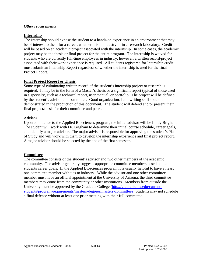#### *Other requirements*

#### **Internship**

The Internship should expose the student to a hands-on experience in an environment that may be of interest to them for a career, whether it is in industry or in a research laboratory. Credit will be based on an academic project associated with the internship. In some cases, the academic project may be the thesis or final project for the entire program. The internship is waived for students who are currently full-time employees in industry; however, a written record/project associated with their work experience is required. All students registered for Internship credit must submit an Internship Report regardless of whether the internship is used for the final Project Report.

#### **Final Project Report or Thesis.**

Some type of culminating written record of the student's internship project or research is required. It may be in the form of a Master's thesis or a significant report typical of those used in a specialty, such as a technical report, user manual, or portfolio. The project will be defined by the student's advisor and committee. Good organizational and writing skill should be demonstrated in the production of this document. The student will defend and/or present their final project/thesis for their committee and peers.

#### **Advisor:**

Upon admittance to the Applied Biosciences program, the initial advisor will be Lindy Brigham. The student will work with Dr. Brigham to determine their initial course schedule, career goals, and identify a major advisor. The major advisor is responsible for approving the student's Plan of Study and will work with them to develop the internship experience and final project report. A major advisor should be selected by the end of the first semester.

#### **Committee**

The committee consists of the student's advisor and two other members of the academic community. The advisor generally suggests appropriate committee members based on the students career goals. In the Applied Biosciences program it is usually helpful to have at least one committee member with ties to industry. While the advisor and one other committee member must have an official appointment at the University of Arizona, the third committee members may come from the community or other institutions. Members from outside the University must be approved by the Graduate College (http://grad.arizona.edu/currentstudents/program-requirements/masters-degrees/masters-committees) Students may not schedule a final defense without at least one prior meeting with their full committee.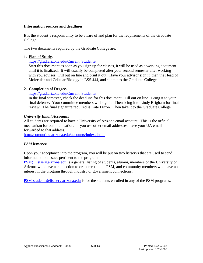#### **Information sources and deadlines**

It is the student's responsibility to be aware of and plan for the requirements of the Graduate College.

The two documents required by the Graduate College are:

#### **1. Plan of Study.**

https://grad.arizona.edu/Current\_Students/

Start this document as soon as you sign up for classes, it will be used as a working document until it is finalized. It will usually be completed after your second semester after working with you advisor. Fill out on line and print it out. Have your advisor sign it, then the Head of Molecular and Cellular Biology in LSS 444, and submit to the Graduate College.

#### **2. Completion of Degree.**

#### https://grad.arizona.edu/Current\_Students/

In the final semester, check the deadline for this document. Fill out on line. Bring it to your final defense. Your committee members will sign it. Then bring it to Lindy Brigham for final review. The final signature required is Kate Dixon. Then take it to the Graduate College.

#### *University Email Accounts:*

All students are required to have a University of Arizona email account. This is the official mechanism for communication. If you use other email addresses, have your UA email forwarded to that address.

http://computing.arizona.edu/accounts/index.shtml

#### *PSM listservs:*

Upon your acceptance into the program, you will be put on two listservs that are used to send information on issues pertinent to the program.

PSM@listserv.arizona.edu Is a general listing of students, alumni, members of the University of Arizona who have a connection to or interest in the PSM, and community members who have an interest in the program through industry or government connections.

PSM-students@listserv.arizona.edu is for the students enrolled in any of the PSM programs.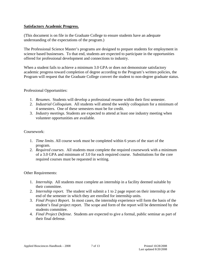#### **Satisfactory Academic Progress.**

(This document is on file in the Graduate College to ensure students have an adequate understanding of the expectations of the program.)

The Professional Science Master's programs are designed to prepare students for employment in science based businesses. To that end, students are expected to participate in the opportunities offered for professional development and connections to industry.

When a student fails to achieve a minimum 3.0 GPA or does not demonstrate satisfactory academic progress toward completion of degree according to the Program's written policies, the Program will request that the Graduate College convert the student to non-degree graduate status.

#### Professional Opportunities:

- 1. *Resumes*. Students will develop a professional resume within their first semester.
- 2. *Industrial Colloquium*. All students will attend the weekly colloquium for a minimum of 4 semesters. One of these semesters must be for credit.
- 3. *Industry meetings*. Students are expected to attend at least one industry meeting when volunteer opportunities are available.

#### Coursework:

- 1. *Time limits*. All course work must be completed within 6 years of the start of the program.
- 2. *Required courses*. All students must complete the required coursework with a minimum of a 3.0 GPA and minimum of 3.0 for each required course. Substitutions for the core required courses must be requested in writing.

#### Other Requirements:

- 1. *Internship.* All students must complete an internship in a facility deemed suitable by their committee.
- 2. *Internship report.* The student will submit a 1 to 2 page report on their internship at the end of the semester in which they are enrolled for internship units.
- 3. *Final Project Report*. In most cases, the internship experience will form the basis of the student's final project report. The scope and form of the report will be determined by the students committee.
- 4. *Final Project Defense*. Students are expected to give a formal, public seminar as part of their final defense.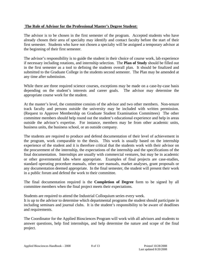#### **The Role of Advisor for the Professional Master's Degree Student:**

The advisor is to be chosen in the first semester of the program. Accepted students who have already chosen their area of specialty may identify and contact faculty before the start of their first semester. Students who have not chosen a specialty will be assigned a temporary advisor at the beginning of their first semester.

The advisor's responsibility is to guide the student in their choice of course work, lab experience if necessary including rotations, and internship selection. The **Plan of Study** should be filled out in the first semester as a tool to defining the students overall plan. It should be finalized and submitted to the Graduate College in the students second semester. The Plan may be amended at any time after submission.

While there are three required science courses, exceptions may be made on a case-by-case basis depending on the student's interests and career goals. The advisor may determine the appropriate course work for the student.

At the master's level, the committee consists of the advisor and two other members. Non-tenure track faculty and persons outside the university may be included with written permission. (Request to Approve Membership on Graduate Student Examination Committees) The other committee members should help round out the student's educational experience and help in areas outside the advisor's expertise. For instance, members may be from other academic units, business units, the business school, or an outside company.

The students are required to produce and defend documentation of their level of achievement in the program, work comparable to the thesis. This work is usually based on the internship experience of the student and it is therefore critical that the students work with their advisor on the procurement of the internship, the expectations of the internship and the specifications of the final documentation. Internships are usually with commercial ventures, but may be in academic or other governmental labs where appropriate. Examples of final projects are case-studies, standard operating procedure manuals, other user manuals, market analyses, grant proposals or any documentation deemed appropriate. In the final semester, the student will present their work in a public forum and defend the work to their committee.

The final documentation required is the **Completion of Degree** form to be signed by all committee members when the final project meets their expectations.

Students are required to attend the Industrial Colloquium series every week.

It is up to the advisor to determine which departmental programs the student should participate in including seminars and journal clubs. It is the student's responsibility to be aware of deadlines and requirements.

The Coordinator for the Applied Biosciences Program will work with all advisors and students to answer questions, help find internships, and help determine the nature and scope of the final project.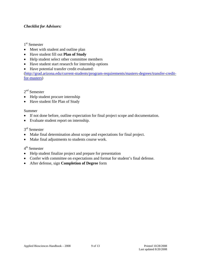#### *Checklist for Advisors:*

#### 1<sup>st</sup> Semester

- Meet with student and outline plan
- Have student fill out **Plan of Study**
- Help student select other committee members
- Have student start research for internship options
- Have potential transfer credit evaluated:

(http://grad.arizona.edu/current-students/program-requirements/masters-degrees/transfer-creditfor-masters)

#### $2<sup>nd</sup>$  Semester

- Help student procure internship
- Have student file Plan of Study

#### Summer

- If not done before, outline expectation for final project scope and documentation.
- Evaluate student report on internship.

## 3<sup>rd</sup> Semester

- Make final determination about scope and expectations for final project.
- Make final adjustments to students course work.
- 4th Semester
- Help student finalize project and prepare for presentation
- Confer with committee on expectations and format for student's final defense.
- After defense, sign **Completion of Degree** form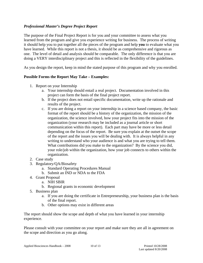#### *Professional Master's Degree Project Report*

The purpose of the Final Project Report is for you and your committee to assess what you learned from the program and give you experience writing for business. The process of writing it should help you to put together all the pieces of the program and help **you** to evaluate what you have learned. While this report is not a thesis, it should be as comprehensive and rigorous as one. The level of detail and analysis should be comparable. The only difference is that you are doing a VERY interdisciplinary project and this is reflected in the flexibility of the guidelines.

As you design the report, keep in mind the stated purpose of this program and why you enrolled.

#### **Possible Forms the Report May Take – Examples:**

- 1. Report on your Internship
	- a. Your internship should entail a real project. Documentation involved in this project can form the basis of the final project report.
	- b. If the project does not entail specific documentation, write up the rationale and results of the project.
	- c. If you are doing a report on your internship in a science based company, the basic format of the report should be a history of the organization, the mission of the organization, the science involved, how your project fits into the mission of the organization (your research may be included as a journal article or short communication within this report). Each part may have be more or less detail depending on the focus of the report. Be sure you explain at the outset the scope of the report and the issues you will be dealing with. It is always helpful in any writing to understand who your audience is and what you are trying to tell them. What contributions did you make to the organization? By the science you did, your role/job within the organization, how your job connects to others within the organization.
- 2. Case study
- 3. Regulatory/QA/Biosafety
	- a. Standard Operating Procedures Manual
	- b. Submit an IND or NDA to the FDA
- 4. Grant Proposal
	- a. NIH SBIR
	- b. Regional grants in economic development
- 5. Business plan
	- a. If you are doing the certificate in Entrepreneurship, your business plan is the basis of the final report.
	- b. Other options may exist in different areas

The report should show the scope and depth of what you have learned in your internship experience.

Please consult with your committee on your report and make sure they are all in agreement on the scope and direction as you go along.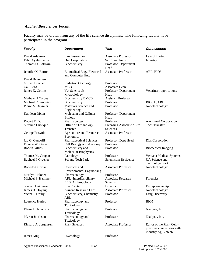## *Applied Biosciences Faculty*

Faculty may be drawn from any of the life science disciplines. The following faculty have participated in the program.

| <b>Faculty</b>        | <b>Department</b>                                | <b>Title</b>                  | <b>Connections</b>                               |
|-----------------------|--------------------------------------------------|-------------------------------|--------------------------------------------------|
| David Adelman         | Law Instruction                                  | <b>Associate Professor</b>    | Law of Biotech                                   |
| Felix Ayala-Fierro    | Dial Corporation                                 | Sr. Toxicologist              | Industry                                         |
| Thomas O. Baldwin     | Biochemistry                                     | Professor, Department<br>Head |                                                  |
| Jennifer K. Barton    | Biomedical Eng., Electrical<br>and Computer Eng. | <b>Associate Professor</b>    | ARL, BIO5                                        |
| David Besselsen       |                                                  |                               |                                                  |
| G. Tim Bowden         | <b>Radiation Oncology</b>                        | Professor                     |                                                  |
| Gail Burd             | <b>MCB</b>                                       | <b>Associate Dean</b>         |                                                  |
| James K. Collins      | Vet Science &                                    | Professor, Department         | Veterinary applications                          |
|                       | Microbiology                                     | Head                          |                                                  |
| Mathew H Cordes       | <b>Biochemistry BMCB</b>                         | <b>Assistant Professor</b>    |                                                  |
| Michael Cusanovich    | Biochemistry                                     | Professor                     | <b>BIOSA, ARL</b>                                |
| Pierre A. Deymier     | Materials Science and<br>Engineering             | Professor                     | Nanotechnology                                   |
| Kathleen Dixon        | Molecular and Cellular                           | Professor, Department         |                                                  |
|                       | <b>Biology</b>                                   | Head                          |                                                  |
| Robert T. Dorr        | Pharmacology                                     | Professor                     | <b>Amplimed Corporation</b>                      |
| Suzanne Dubuque       | Office of Technology                             | Licensing Associate / Life    | <b>Tech Transfer</b>                             |
|                       | Transfer                                         | Sciences                      |                                                  |
| George Frisvold       | <b>Agriculture and Resource</b><br>Economics     | <b>Associate Professor</b>    |                                                  |
| Jay G. Gandolfi       | <b>Pharmaceutical Sciences</b>                   | Professor, Dept Head          | Dial Corporation                                 |
| Eugene W. Gerner      | Cell Biology and Anatomy                         | Professor                     |                                                  |
| <b>Robert Gillies</b> | Biochemistry and<br>Molecular Biophysics         | Professor                     | <b>Biomedical Imaging</b>                        |
| Thomas M. Grogan      | Pathology                                        | Professor                     | Ventana Medical Systems                          |
| Raphael P Gruener     | Sci and Tech Park                                | Scientist in Residence        | UA Science and<br><b>Technology Park</b>         |
| Roberto Guzman        | Chemical and                                     | <b>Associate Professor</b>    | Nanotechnology                                   |
|                       | <b>Environmental Engineering</b>                 |                               |                                                  |
| Marilyn Halonen       | Pharmacology                                     | Professor                     |                                                  |
| Michael F. Hammer     | ARL -interdisciplinary                           | Associate Research            | Forensics                                        |
|                       | EEB, Anthropology                                | Scientist                     |                                                  |
| Sherry Hoskinson      | Eller Center                                     | Director                      | Entrepreneurship                                 |
| James B. Hoying       | Arizona Research Labs                            | <b>Associate Professor</b>    | Nanotechnology                                   |
| Victor J. Hruby       | Biochemistry, Chemistry,<br><b>ARL</b>           | Professor                     | Drug Discovery                                   |
| Laurence Hurley       | Pharmacology and<br>Toxicology                   | Professor                     | BIO <sub>5</sub>                                 |
| Elaine L. Jacobson    | Pharmacology and<br>Toxicology                   | Professor                     | Niadyne, Inc.                                    |
| Myron Jacobson        | Pharmacology and<br>Toxicology                   | Professor                     | Niadyne, Inc.                                    |
| Richard A. Jorgensen  | <b>Plant Sciences</b>                            | <b>Associate Professor</b>    | Editor of the Plant Cell -                       |
|                       |                                                  |                               | previous connections with<br>industry Ag Biotech |
| James King            | Psychology                                       | Professor                     |                                                  |

Applied Biosciences Handbook – 2008 11 of 13 Printed 10/28/2008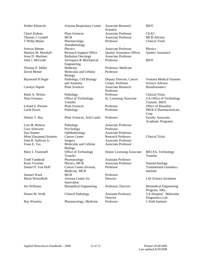| Walter Klimecki                          |                                |                                         | BIO <sub>5</sub>               |
|------------------------------------------|--------------------------------|-----------------------------------------|--------------------------------|
|                                          | Arizona Respiratory Center     | Associate Research<br>Scientist         |                                |
| Chieri Kubota                            | <b>Plant Sciences</b>          | <b>Associate Professor</b>              | <b>CEAC</b>                    |
| Thomas J. Lindell                        | <b>MCB</b>                     | <b>Associate Professor</b>              | <b>MCB</b> Advisor             |
|                                          |                                |                                         | <b>Clinical Trials</b>         |
| T Philip Malan                           | Pharmacology,                  | Professor                               |                                |
| Srinvas Manne                            | Anesthesiology<br>Physics      | <b>Associate Professor</b>              | Physics                        |
|                                          |                                |                                         |                                |
| Marilyn M. Marshall<br>Jesse D. Martinez | <b>Research Support Office</b> | <b>Quality Assurance Officer</b>        | <b>Quality Assurance</b>       |
|                                          | <b>Radiation Oncology</b>      | <b>Associate Professor</b><br>Professor |                                |
| John J. McGrath                          | Aerospace & Mechanical         |                                         | BIO <sub>5</sub>               |
|                                          | Engineering                    |                                         |                                |
| Thomas P. Miller                         | Medicine                       | Professor, Medicine                     |                                |
| David Mount                              | Molecular and Cellular         | Professor                               |                                |
|                                          | <b>Biology</b>                 |                                         |                                |
| Raymond B Nagle                          | Pathology, Cell Biology        | Deputy Director, Cancer                 | Ventana Medical Systems        |
|                                          | and Anatomy                    | Center; Professor                       | Science Advisor                |
| Carolyn Napoli                           | <b>Plant Sciences</b>          | Associate Research                      | <b>Bioinformatics</b>          |
|                                          |                                | Professor                               |                                |
| Mark A. Nelson                           | Pathology                      | Professor                               | <b>Clinical Trials</b>         |
| Nina Ossanna                             | Office of Technology           | Sr. Licensing Associate                 | <b>UA Office of Technology</b> |
|                                          | Transfer                       |                                         | Transfer, BIO5                 |
| Leland S. Pierson                        | <b>Plant Sciences</b>          | Professor                               | Office of Biosafety            |
| <b>Garth Powis</b>                       | Pathology                      | Professor                               | PROLX Pharmaceuticals,         |
|                                          |                                |                                         | Corp                           |
| Dennis T. Ray                            | Plant Sciences, Arid Lands     | Professor                               | Faculty Associate,             |
|                                          |                                |                                         | Academic Programs              |
| Lisa M. Rimsza                           | Pathology                      | <b>Associate Professor</b>              |                                |
| Gary Schwartz                            | Psychology                     | Professor                               |                                |
| Dan Stamer                               | Ophthalmology                  | <b>Associate Professor</b>              |                                |
| Mimi (Suzanne) Stratton                  | <b>Cancer Center</b>           | <b>Research Professor</b>               | <b>Clinical Trials</b>         |
| John B. Sullivan Jr.                     | Surgery                        | <b>Associate Professor</b>              |                                |
| Frans E. Tax                             | Molecular and Cellular         | <b>Associate Professor</b>              |                                |
|                                          | <b>Biology</b>                 |                                         |                                |
| Mary L Trammell                          | Office of Technology           | Senior Licensing Associate              | BIO-SA, Technology             |
|                                          | Transfer                       |                                         | Transfer                       |
| <b>Todd Vanderah</b>                     | Pharmacology                   | <b>Assistant Professor</b>              |                                |
| Koen Visscher                            | Physics, MCB                   | <b>Associate Professor</b>              | Nanotechnology                 |
| Daniel D. Von Hoff                       | Cancer Center division,        | Professor                               | <b>Translational Genomics</b>  |
|                                          | Medicine, MCB                  |                                         | Institute                      |
| Samuel Ward                              | <b>MCB</b>                     | Professor                               |                                |
| Marie Wesselhoft                         | Arizona Center for             | Director                                | Life Science Incubator         |
|                                          | Innovation                     |                                         |                                |
| Stu Williams                             | <b>Biomedical Engineering</b>  | Professor, Director                     | <b>Biomedical Engineering</b>  |
|                                          |                                |                                         | Program, ARL,                  |
| Donna M. Wolk                            | <b>Clinical Pathology</b>      | Assistant Professor,                    | VA Hospital - Molecular        |
|                                          |                                | Director                                | Diagnostics Lab                |
| Ray Woosley                              | Pharmacology, Medicine         | Professor                               | C-Path Institute               |
|                                          |                                |                                         |                                |